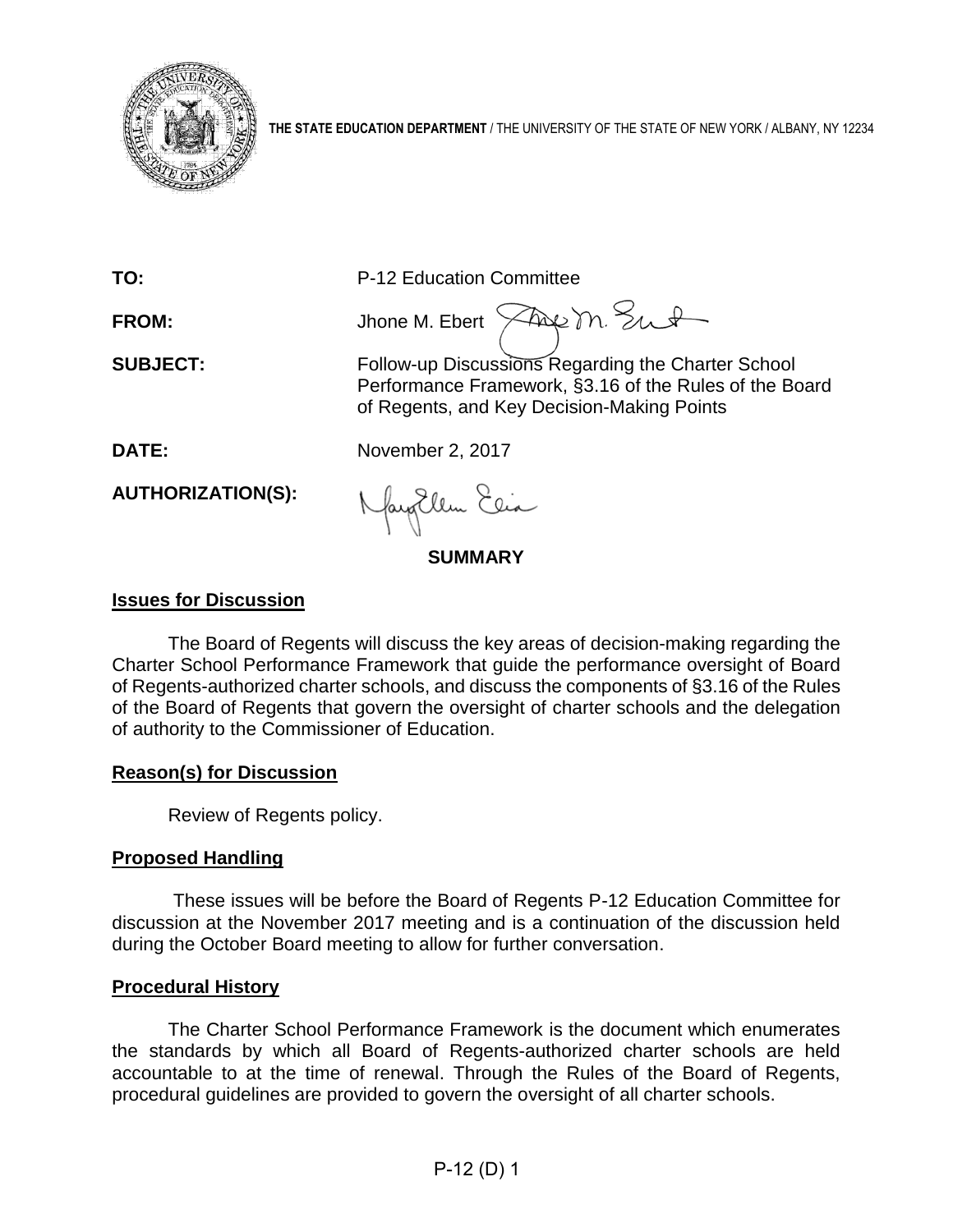

**THE STATE EDUCATION DEPARTMENT** / THE UNIVERSITY OF THE STATE OF NEW YORK / ALBANY, NY 12234

| TO:                      | P-12 Education Committee                                                                                                                                   |  |
|--------------------------|------------------------------------------------------------------------------------------------------------------------------------------------------------|--|
| <b>FROM:</b>             | Jhone M. Ebert Page M. Sut                                                                                                                                 |  |
| <b>SUBJECT:</b>          | Follow-up Discussions Regarding the Charter School<br>Performance Framework, §3.16 of the Rules of the Board<br>of Regents, and Key Decision-Making Points |  |
| <b>DATE:</b>             | November 2, 2017                                                                                                                                           |  |
| <b>AUTHORIZATION(S):</b> | Nagollem Elia                                                                                                                                              |  |
| <b>SUMMARY</b>           |                                                                                                                                                            |  |

#### **Issues for Discussion**

The Board of Regents will discuss the key areas of decision-making regarding the Charter School Performance Framework that guide the performance oversight of Board of Regents-authorized charter schools, and discuss the components of §3.16 of the Rules of the Board of Regents that govern the oversight of charter schools and the delegation of authority to the Commissioner of Education.

#### **Reason(s) for Discussion**

Review of Regents policy.

# **Proposed Handling**

These issues will be before the Board of Regents P-12 Education Committee for discussion at the November 2017 meeting and is a continuation of the discussion held during the October Board meeting to allow for further conversation.

#### **Procedural History**

The Charter School Performance Framework is the document which enumerates the standards by which all Board of Regents-authorized charter schools are held accountable to at the time of renewal. Through the Rules of the Board of Regents, procedural guidelines are provided to govern the oversight of all charter schools.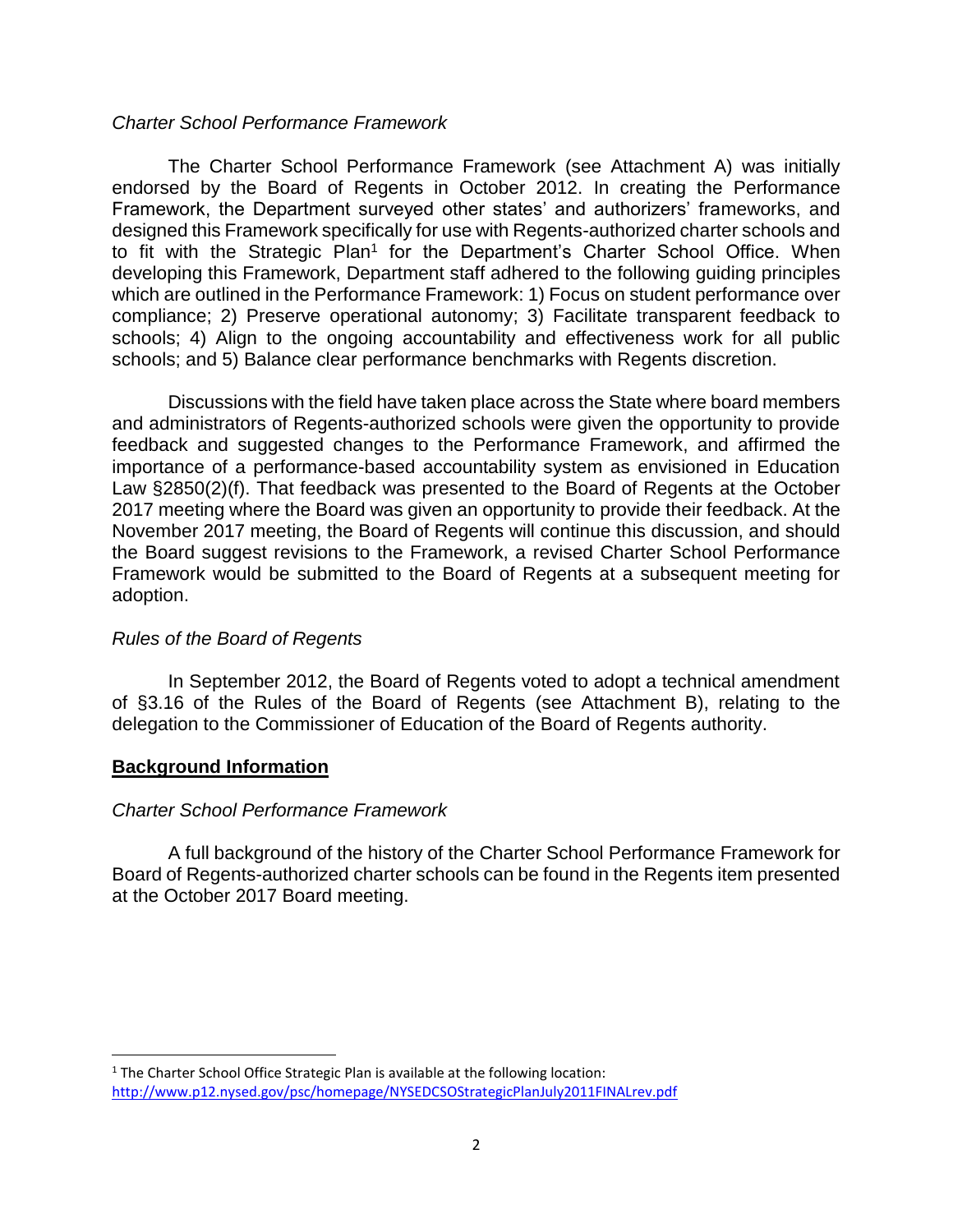#### *Charter School Performance Framework*

The Charter School Performance Framework (see Attachment A) was initially endorsed by the Board of Regents in October 2012. In creating the Performance Framework, the Department surveyed other states' and authorizers' frameworks, and designed this Framework specifically for use with Regents-authorized charter schools and to fit with the Strategic Plan<sup>1</sup> for the Department's Charter School Office. When developing this Framework, Department staff adhered to the following guiding principles which are outlined in the Performance Framework: 1) Focus on student performance over compliance; 2) Preserve operational autonomy; 3) Facilitate transparent feedback to schools; 4) Align to the ongoing accountability and effectiveness work for all public schools; and 5) Balance clear performance benchmarks with Regents discretion.

Discussions with the field have taken place across the State where board members and administrators of Regents-authorized schools were given the opportunity to provide feedback and suggested changes to the Performance Framework, and affirmed the importance of a performance-based accountability system as envisioned in Education Law §2850(2)(f). That feedback was presented to the Board of Regents at the October 2017 meeting where the Board was given an opportunity to provide their feedback. At the November 2017 meeting, the Board of Regents will continue this discussion, and should the Board suggest revisions to the Framework, a revised Charter School Performance Framework would be submitted to the Board of Regents at a subsequent meeting for adoption.

# *Rules of the Board of Regents*

In September 2012, the Board of Regents voted to adopt a technical amendment of §3.16 of the Rules of the Board of Regents (see Attachment B), relating to the delegation to the Commissioner of Education of the Board of Regents authority.

# **Background Information**

# *Charter School Performance Framework*

A full background of the history of the Charter School Performance Framework for Board of Regents-authorized charter schools can be found in the Regents item presented at the October 2017 Board meeting.

<sup>&</sup>lt;sup>1</sup> The Charter School Office Strategic Plan is available at the following location: <http://www.p12.nysed.gov/psc/homepage/NYSEDCSOStrategicPlanJuly2011FINALrev.pdf>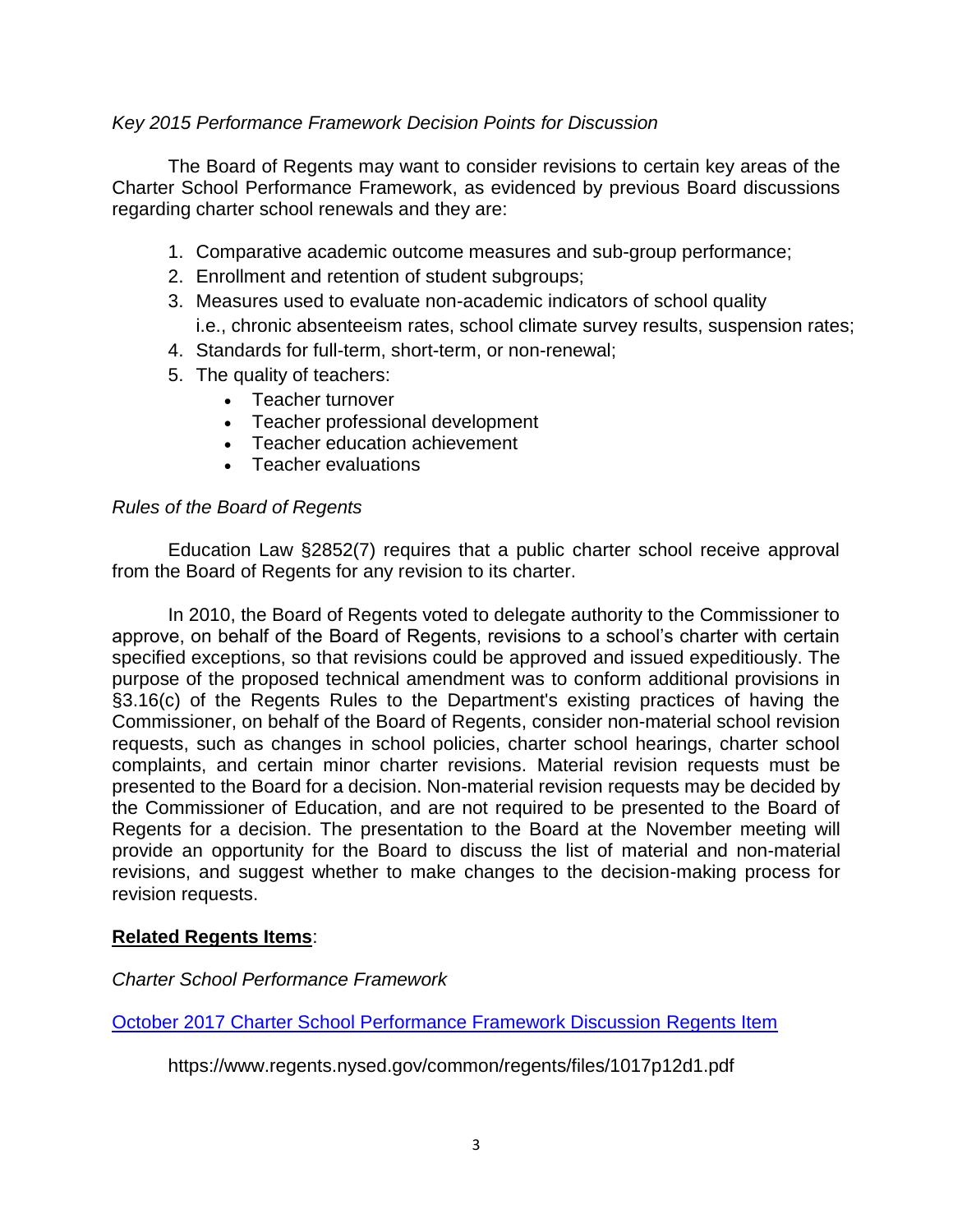# *Key 2015 Performance Framework Decision Points for Discussion*

The Board of Regents may want to consider revisions to certain key areas of the Charter School Performance Framework, as evidenced by previous Board discussions regarding charter school renewals and they are:

- 1. Comparative academic outcome measures and sub-group performance;
- 2. Enrollment and retention of student subgroups;
- 3. Measures used to evaluate non-academic indicators of school quality i.e., chronic absenteeism rates, school climate survey results, suspension rates;
- 4. Standards for full-term, short-term, or non-renewal;
- 5. The quality of teachers:
	- Teacher turnover
		- Teacher professional development
		- Teacher education achievement
		- Teacher evaluations

# *Rules of the Board of Regents*

Education Law §2852(7) requires that a public charter school receive approval from the Board of Regents for any revision to its charter.

In 2010, the Board of Regents voted to delegate authority to the Commissioner to approve, on behalf of the Board of Regents, revisions to a school's charter with certain specified exceptions, so that revisions could be approved and issued expeditiously. The purpose of the proposed technical amendment was to conform additional provisions in §3.16(c) of the Regents Rules to the Department's existing practices of having the Commissioner, on behalf of the Board of Regents, consider non-material school revision requests, such as changes in school policies, charter school hearings, charter school complaints, and certain minor charter revisions. Material revision requests must be presented to the Board for a decision. Non-material revision requests may be decided by the Commissioner of Education, and are not required to be presented to the Board of Regents for a decision. The presentation to the Board at the November meeting will provide an opportunity for the Board to discuss the list of material and non-material revisions, and suggest whether to make changes to the decision-making process for revision requests.

# **Related Regents Items**:

*Charter School Performance Framework*

[October 2017 Charter School Performance Framework Discussion Regents Item](https://www.regents.nysed.gov/common/regents/files/1017p12d1.pdf)

https://www.regents.nysed.gov/common/regents/files/1017p12d1.pdf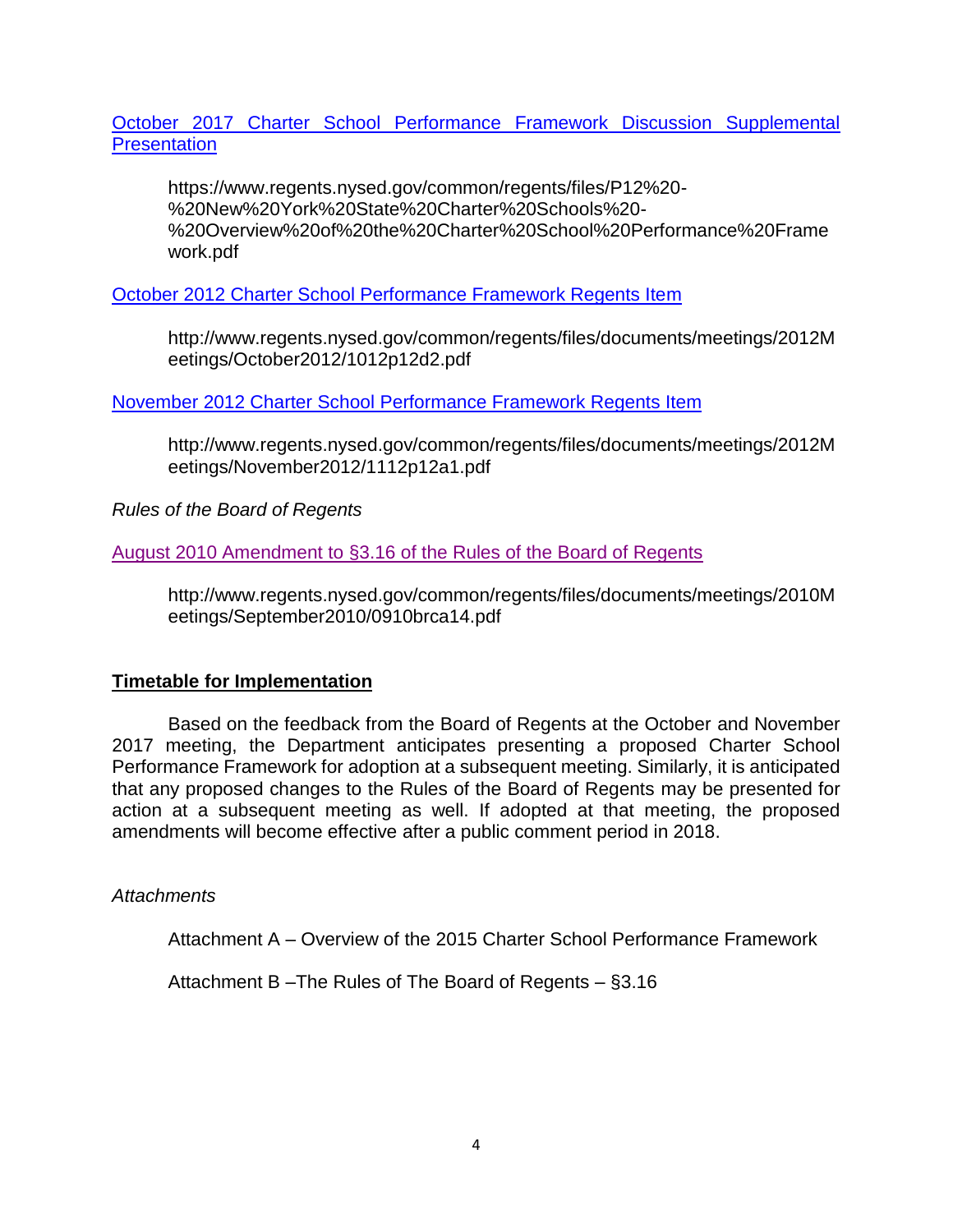#### [October 2017 Charter School Performance Framework Discussion Supplemental](https://www.regents.nysed.gov/common/regents/files/P12%20-%20New%20York%20State%20Charter%20Schools%20-%20Overview%20of%20the%20Charter%20School%20Performance%20Framework.pd)  **[Presentation](https://www.regents.nysed.gov/common/regents/files/P12%20-%20New%20York%20State%20Charter%20Schools%20-%20Overview%20of%20the%20Charter%20School%20Performance%20Framework.pd)**

https://www.regents.nysed.gov/common/regents/files/P12%20- %20New%20York%20State%20Charter%20Schools%20- %20Overview%20of%20the%20Charter%20School%20Performance%20Frame work.pdf

# [October 2012 Charter School Performance Framework Regents Item](http://www.regents.nysed.gov/common/regents/files/documents/meetings/2012Meetings/October2012/1012p12d2.pdf)

http://www.regents.nysed.gov/common/regents/files/documents/meetings/2012M eetings/October2012/1012p12d2.pdf

# [November 2012 Charter School Performance Framework](http://www.regents.nysed.gov/common/regents/files/documents/meetings/2012Meetings/November2012/1112p12a1.pdf) Regents Item

http://www.regents.nysed.gov/common/regents/files/documents/meetings/2012M eetings/November2012/1112p12a1.pdf

*Rules of the Board of Regents*

# [August 2010 Amendment to §3.16 of the Rules of the Board of Regents](http://www.regents.nysed.gov/common/regents/files/documents/meetings/2010Meetings/September2010/0910brca14.pdf)

http://www.regents.nysed.gov/common/regents/files/documents/meetings/2010M eetings/September2010/0910brca14.pdf

# **Timetable for Implementation**

Based on the feedback from the Board of Regents at the October and November 2017 meeting, the Department anticipates presenting a proposed Charter School Performance Framework for adoption at a subsequent meeting. Similarly, it is anticipated that any proposed changes to the Rules of the Board of Regents may be presented for action at a subsequent meeting as well. If adopted at that meeting, the proposed amendments will become effective after a public comment period in 2018.

# *Attachments*

Attachment A – Overview of the 2015 Charter School Performance Framework

Attachment B –The Rules of The Board of Regents – §3.16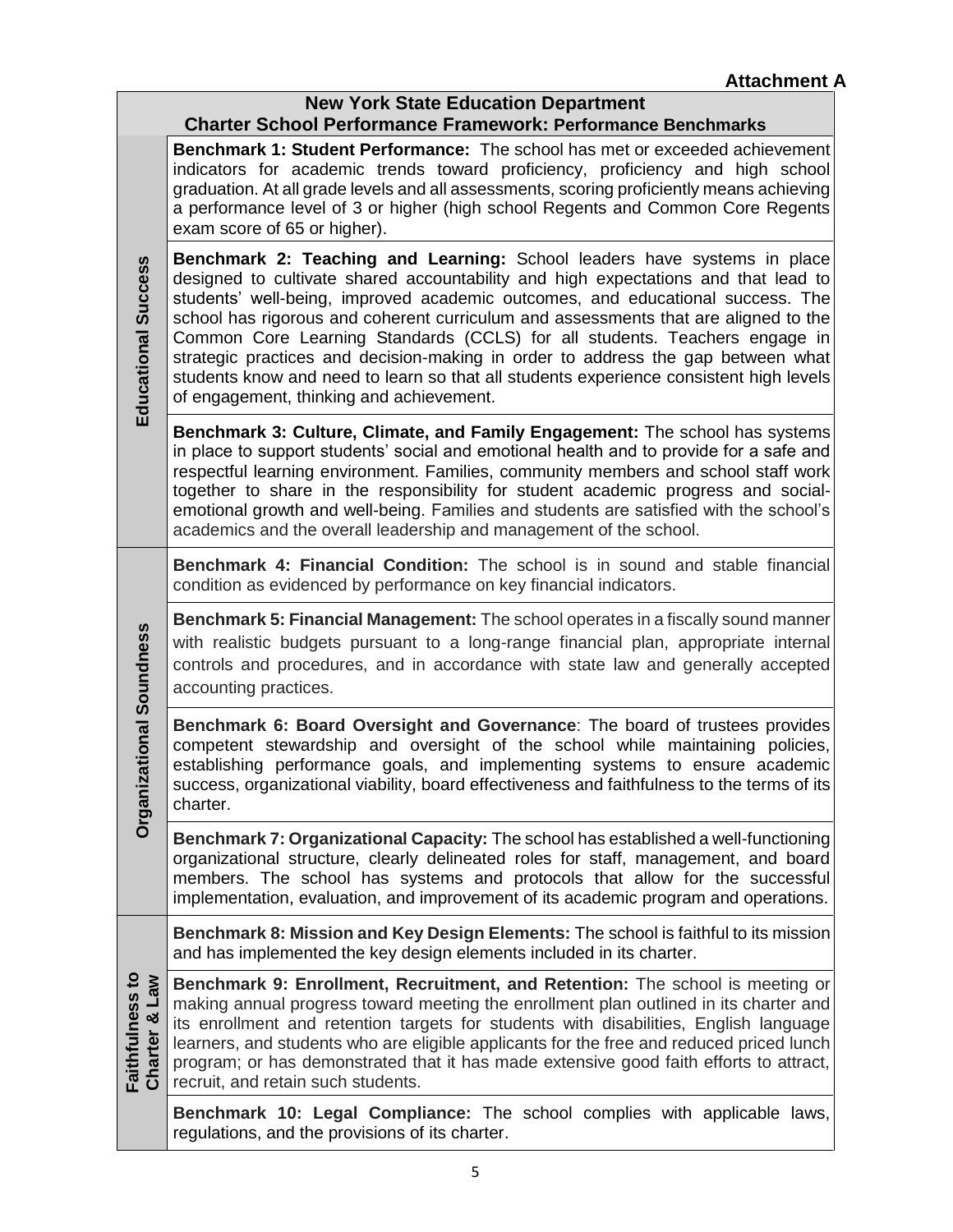| <b>New York State Education Department</b> |                                                                                                                                                                                                                                                                                                                                                                                                                                                                                                                                                                                                                                                 |
|--------------------------------------------|-------------------------------------------------------------------------------------------------------------------------------------------------------------------------------------------------------------------------------------------------------------------------------------------------------------------------------------------------------------------------------------------------------------------------------------------------------------------------------------------------------------------------------------------------------------------------------------------------------------------------------------------------|
| Educational Success                        | <b>Charter School Performance Framework: Performance Benchmarks</b><br>Benchmark 1: Student Performance: The school has met or exceeded achievement<br>indicators for academic trends toward proficiency, proficiency and high school<br>graduation. At all grade levels and all assessments, scoring proficiently means achieving<br>a performance level of 3 or higher (high school Regents and Common Core Regents<br>exam score of 65 or higher).                                                                                                                                                                                           |
|                                            | Benchmark 2: Teaching and Learning: School leaders have systems in place<br>designed to cultivate shared accountability and high expectations and that lead to<br>students' well-being, improved academic outcomes, and educational success. The<br>school has rigorous and coherent curriculum and assessments that are aligned to the<br>Common Core Learning Standards (CCLS) for all students. Teachers engage in<br>strategic practices and decision-making in order to address the gap between what<br>students know and need to learn so that all students experience consistent high levels<br>of engagement, thinking and achievement. |
|                                            | <b>Benchmark 3: Culture, Climate, and Family Engagement:</b> The school has systems<br>in place to support students' social and emotional health and to provide for a safe and<br>respectful learning environment. Families, community members and school staff work<br>together to share in the responsibility for student academic progress and social-<br>emotional growth and well-being. Families and students are satisfied with the school's<br>academics and the overall leadership and management of the school.                                                                                                                       |
| zational Soundness<br>Organi               | Benchmark 4: Financial Condition: The school is in sound and stable financial<br>condition as evidenced by performance on key financial indicators.                                                                                                                                                                                                                                                                                                                                                                                                                                                                                             |
|                                            | Benchmark 5: Financial Management: The school operates in a fiscally sound manner<br>with realistic budgets pursuant to a long-range financial plan, appropriate internal<br>controls and procedures, and in accordance with state law and generally accepted<br>accounting practices.                                                                                                                                                                                                                                                                                                                                                          |
|                                            | Benchmark 6: Board Oversight and Governance: The board of trustees provides<br>competent stewardship and oversight of the school while maintaining policies,<br>establishing performance goals, and implementing systems to ensure academic<br>success, organizational viability, board effectiveness and faithfulness to the terms of its<br>charter.                                                                                                                                                                                                                                                                                          |
|                                            | Benchmark 7: Organizational Capacity: The school has established a well-functioning<br>organizational structure, clearly delineated roles for staff, management, and board<br>members. The school has systems and protocols that allow for the successful<br>implementation, evaluation, and improvement of its academic program and operations.                                                                                                                                                                                                                                                                                                |
| Faithfulness to<br>Charter & Law           | Benchmark 8: Mission and Key Design Elements: The school is faithful to its mission<br>and has implemented the key design elements included in its charter.                                                                                                                                                                                                                                                                                                                                                                                                                                                                                     |
|                                            | Benchmark 9: Enrollment, Recruitment, and Retention: The school is meeting or<br>making annual progress toward meeting the enrollment plan outlined in its charter and<br>its enrollment and retention targets for students with disabilities, English language<br>learners, and students who are eligible applicants for the free and reduced priced lunch<br>program; or has demonstrated that it has made extensive good faith efforts to attract,<br>recruit, and retain such students.                                                                                                                                                     |
|                                            | Benchmark 10: Legal Compliance: The school complies with applicable laws,<br>regulations, and the provisions of its charter.                                                                                                                                                                                                                                                                                                                                                                                                                                                                                                                    |

 $\Box$